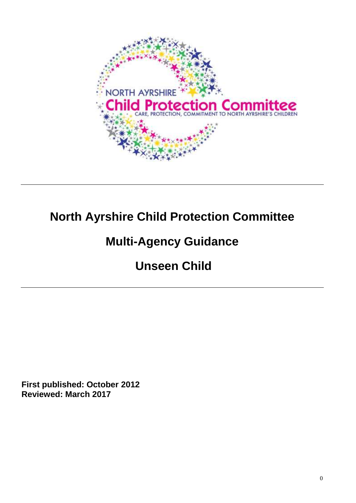

# **North Ayrshire Child Protection Committee**

# **Multi-Agency Guidance**

# **Unseen Child**

**First published: October 2012 Reviewed: March 2017**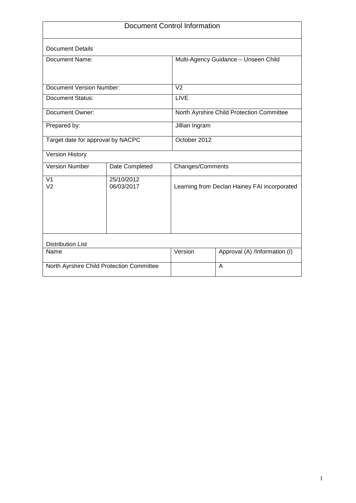| <b>Document Control Information</b>       |                          |                                              |                               |  |
|-------------------------------------------|--------------------------|----------------------------------------------|-------------------------------|--|
| <b>Document Details</b>                   |                          |                                              |                               |  |
| Document Name:                            |                          | Multi-Agency Guidance - Unseen Child         |                               |  |
|                                           |                          |                                              |                               |  |
| <b>Document Version Number:</b>           |                          | $\overline{V}$                               |                               |  |
| <b>Document Status:</b>                   |                          | LIVE                                         |                               |  |
| Document Owner:                           |                          | North Ayrshire Child Protection Committee    |                               |  |
| Prepared by:                              |                          | Jillian Ingram                               |                               |  |
| Target date for approval by NACPC         |                          | October 2012                                 |                               |  |
| <b>Version History</b>                    |                          |                                              |                               |  |
| <b>Version Number</b>                     | Date Completed           | Changes/Comments                             |                               |  |
| V <sub>1</sub><br>V <sub>2</sub>          | 25/10/2012<br>06/03/2017 | Learning from Declan Hainey FAI incorporated |                               |  |
| <b>Distribution List</b>                  |                          |                                              |                               |  |
| Name                                      |                          | Version                                      | Approval (A) /Information (I) |  |
| North Ayrshire Child Protection Committee |                          | A                                            |                               |  |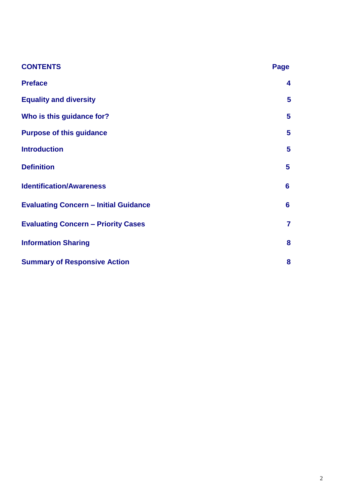| <b>CONTENTS</b>                              | Page           |
|----------------------------------------------|----------------|
| <b>Preface</b>                               | 4              |
| <b>Equality and diversity</b>                | 5              |
| Who is this guidance for?                    | 5              |
| <b>Purpose of this guidance</b>              | $5\phantom{1}$ |
| <b>Introduction</b>                          | 5              |
| <b>Definition</b>                            | 5              |
| <b>Identification/Awareness</b>              | $6\phantom{1}$ |
| <b>Evaluating Concern - Initial Guidance</b> | 6              |
| <b>Evaluating Concern - Priority Cases</b>   | $\overline{7}$ |
| <b>Information Sharing</b>                   | 8              |
| <b>Summary of Responsive Action</b>          | 8              |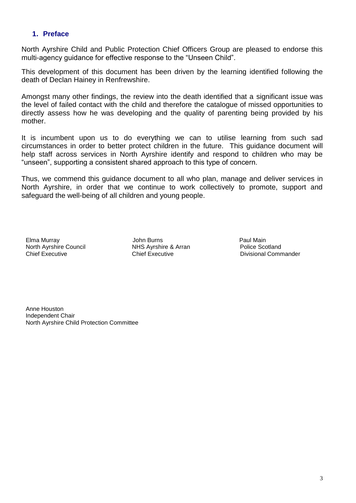#### **1. Preface**

North Ayrshire Child and Public Protection Chief Officers Group are pleased to endorse this multi-agency guidance for effective response to the "Unseen Child".

This development of this document has been driven by the learning identified following the death of Declan Hainey in Renfrewshire.

Amongst many other findings, the review into the death identified that a significant issue was the level of failed contact with the child and therefore the catalogue of missed opportunities to directly assess how he was developing and the quality of parenting being provided by his mother.

It is incumbent upon us to do everything we can to utilise learning from such sad circumstances in order to better protect children in the future. This guidance document will help staff across services in North Ayrshire identify and respond to children who may be "unseen", supporting a consistent shared approach to this type of concern.

Thus, we commend this guidance document to all who plan, manage and deliver services in North Ayrshire, in order that we continue to work collectively to promote, support and safeguard the well-being of all children and young people.

Elma Murray John Burns Paul Main North Ayrshire Council **NHS Ayrshire & Arran**<br>
Chief Executive Chief Executive

Divisional Commander

Anne Houston Independent Chair North Ayrshire Child Protection Committee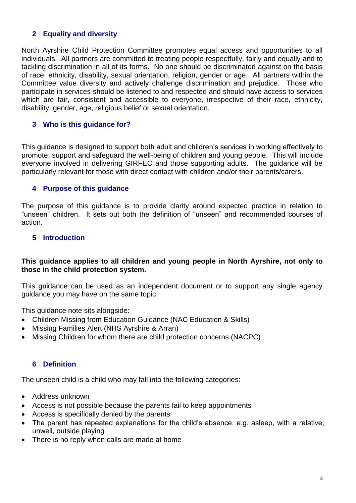## **2 Equality and diversity**

North Ayrshire Child Protection Committee promotes equal access and opportunities to all individuals. All partners are committed to treating people respectfully, fairly and equally and to tackling discrimination in all of its forms. No one should be discriminated against on the basis of race, ethnicity, disability, sexual orientation, religion, gender or age. All partners within the Committee value diversity and actively challenge discrimination and prejudice. Those who participate in services should be listened to and respected and should have access to services which are fair, consistent and accessible to everyone, irrespective of their race, ethnicity, disability, gender, age, religious belief or sexual orientation.

### **3 Who is this guidance for?**

This guidance is designed to support both adult and children's services in working effectively to promote, support and safeguard the well-being of children and young people. This will include everyone involved in delivering GIRFEC and those supporting adults. The guidance will be particularly relevant for those with direct contact with children and/or their parents/carers.

### **4 Purpose of this guidance**

The purpose of this guidance is to provide clarity around expected practice in relation to "unseen" children. It sets out both the definition of "unseen" and recommended courses of action.

#### **5 Introduction**

#### **This guidance applies to all children and young people in North Ayrshire, not only to those in the child protection system.**

This guidance can be used as an independent document or to support any single agency guidance you may have on the same topic.

This guidance note sits alongside:

- Children Missing from Education Guidance (NAC Education & Skills)
- Missing Families Alert (NHS Ayrshire & Arran)
- Missing Children for whom there are child protection concerns (NACPC)

#### **6 Definition**

The unseen child is a child who may fall into the following categories:

- Address unknown
- Access is not possible because the parents fail to keep appointments
- Access is specifically denied by the parents
- The parent has repeated explanations for the child's absence, e.g. asleep, with a relative, unwell, outside playing
- There is no reply when calls are made at home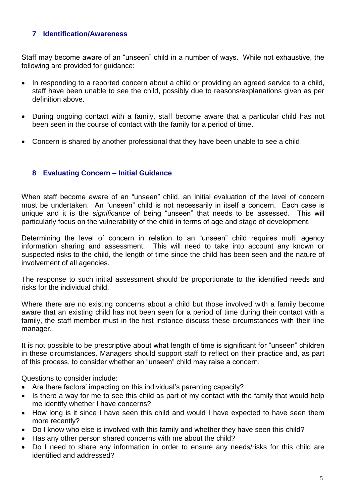## **7 Identification/Awareness**

Staff may become aware of an "unseen" child in a number of ways. While not exhaustive, the following are provided for guidance:

- In responding to a reported concern about a child or providing an agreed service to a child, staff have been unable to see the child, possibly due to reasons/explanations given as per definition above.
- During ongoing contact with a family, staff become aware that a particular child has not been seen in the course of contact with the family for a period of time.
- Concern is shared by another professional that they have been unable to see a child.

## **8 Evaluating Concern – Initial Guidance**

When staff become aware of an "unseen" child, an initial evaluation of the level of concern must be undertaken. An "unseen" child is not necessarily in itself a concern. Each case is unique and it is the *significance* of being "unseen" that needs to be assessed. This will particularly focus on the vulnerability of the child in terms of age and stage of development.

Determining the level of concern in relation to an "unseen" child requires multi agency information sharing and assessment. This will need to take into account any known or suspected risks to the child, the length of time since the child has been seen and the nature of involvement of all agencies.

The response to such initial assessment should be proportionate to the identified needs and risks for the individual child.

Where there are no existing concerns about a child but those involved with a family become aware that an existing child has not been seen for a period of time during their contact with a family, the staff member must in the first instance discuss these circumstances with their line manager.

It is not possible to be prescriptive about what length of time is significant for "unseen" children in these circumstances. Managers should support staff to reflect on their practice and, as part of this process, to consider whether an "unseen" child may raise a concern.

Questions to consider include:

- Are there factors' impacting on this individual's parenting capacity?
- Is there a way for me to see this child as part of my contact with the family that would help me identify whether I have concerns?
- How long is it since I have seen this child and would I have expected to have seen them more recently?
- Do I know who else is involved with this family and whether they have seen this child?
- Has any other person shared concerns with me about the child?
- Do I need to share any information in order to ensure any needs/risks for this child are identified and addressed?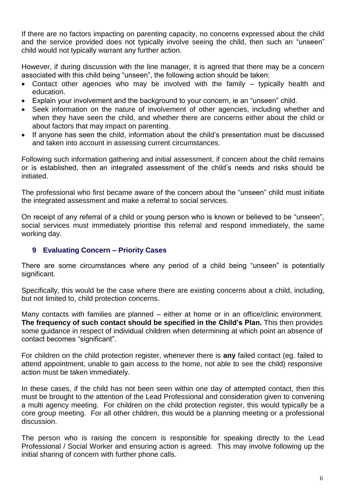If there are no factors impacting on parenting capacity, no concerns expressed about the child and the service provided does not typically involve seeing the child, then such an "unseen" child would not typically warrant any further action.

However, if during discussion with the line manager, it is agreed that there may be a concern associated with this child being "unseen", the following action should be taken:

- Contact other agencies who may be involved with the family typically health and education.
- Explain your involvement and the background to your concern, ie an "unseen" child.
- Seek information on the nature of involvement of other agencies, including whether and when they have seen the child, and whether there are concerns either about the child or about factors that may impact on parenting.
- If anyone has seen the child, information about the child's presentation must be discussed and taken into account in assessing current circumstances.

Following such information gathering and initial assessment, if concern about the child remains or is established, then an integrated assessment of the child's needs and risks should be initiated.

The professional who first became aware of the concern about the "unseen" child must initiate the integrated assessment and make a referral to social services.

On receipt of any referral of a child or young person who is known or believed to be "unseen", social services must immediately prioritise this referral and respond immediately, the same working day.

## **9 Evaluating Concern – Priority Cases**

There are some circumstances where any period of a child being "unseen" is potentially significant.

Specifically, this would be the case where there are existing concerns about a child, including, but not limited to, child protection concerns.

Many contacts with families are planned – either at home or in an office/clinic environment. **The frequency of such contact should be specified in the Child's Plan.** This then provides some guidance in respect of individual children when determining at which point an absence of contact becomes "significant".

For children on the child protection register, whenever there is **any** failed contact (eg. failed to attend appointment, unable to gain access to the home, not able to see the child) responsive action must be taken immediately.

In these cases, if the child has not been seen within one day of attempted contact, then this must be brought to the attention of the Lead Professional and consideration given to convening a multi agency meeting. For children on the child protection register, this would typically be a core group meeting. For all other children, this would be a planning meeting or a professional discussion.

The person who is raising the concern is responsible for speaking directly to the Lead Professional / Social Worker and ensuring action is agreed. This may involve following up the initial sharing of concern with further phone calls.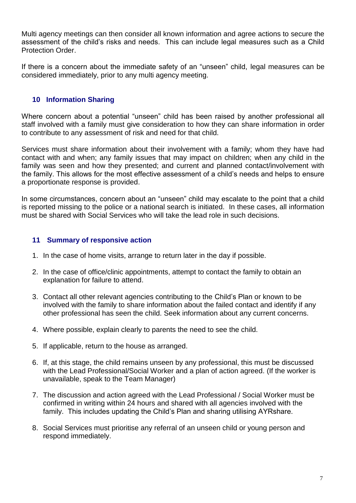Multi agency meetings can then consider all known information and agree actions to secure the assessment of the child's risks and needs. This can include legal measures such as a Child Protection Order.

If there is a concern about the immediate safety of an "unseen" child, legal measures can be considered immediately, prior to any multi agency meeting.

## **10 Information Sharing**

Where concern about a potential "unseen" child has been raised by another professional all staff involved with a family must give consideration to how they can share information in order to contribute to any assessment of risk and need for that child.

Services must share information about their involvement with a family; whom they have had contact with and when; any family issues that may impact on children; when any child in the family was seen and how they presented; and current and planned contact/involvement with the family. This allows for the most effective assessment of a child's needs and helps to ensure a proportionate response is provided.

In some circumstances, concern about an "unseen" child may escalate to the point that a child is reported missing to the police or a national search is initiated. In these cases, all information must be shared with Social Services who will take the lead role in such decisions.

## **11 Summary of responsive action**

- 1. In the case of home visits, arrange to return later in the day if possible.
- 2. In the case of office/clinic appointments, attempt to contact the family to obtain an explanation for failure to attend.
- 3. Contact all other relevant agencies contributing to the Child's Plan or known to be involved with the family to share information about the failed contact and identify if any other professional has seen the child. Seek information about any current concerns.
- 4. Where possible, explain clearly to parents the need to see the child.
- 5. If applicable, return to the house as arranged.
- 6. If, at this stage, the child remains unseen by any professional, this must be discussed with the Lead Professional/Social Worker and a plan of action agreed. (If the worker is unavailable, speak to the Team Manager)
- 7. The discussion and action agreed with the Lead Professional / Social Worker must be confirmed in writing within 24 hours and shared with all agencies involved with the family. This includes updating the Child's Plan and sharing utilising AYRshare.
- 8. Social Services must prioritise any referral of an unseen child or young person and respond immediately.